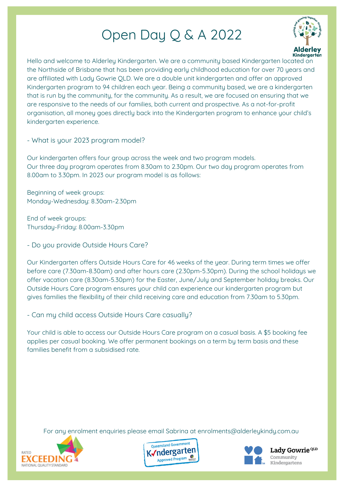

Hello and welcome to Alderley Kindergarten. We are a community based Kindergarten located on the Northside of Brisbane that has been providing early childhood education for over 70 years and are affiliated with Lady Gowrie QLD. We are a double unit kindergarten and offer an approved Kindergarten program to 94 children each year. Being a community based, we are a kindergarten that is run by the community, for the community. As a result, we are focused on ensuring that we are responsive to the needs of our families, both current and prospective. As a not-for-profit organisation, all money goes directly back into the Kindergarten program to enhance your child's kindergarten experience.

- What is your 2023 program model?

Our kindergarten offers four group across the week and two program models. Our three day program operates from 8.30am to 2.30pm. Our two day program operates from 8.00am to 3.30pm. In 2023 our program model is as follows:

Beginning of week groups: Monday-Wednesday: 8.30am-2.30pm

End of week groups: Thursday-Friday: 8.00am-3.30pm

- Do you provide Outside Hours Care?

Our Kindergarten offers Outside Hours Care for 46 weeks of the year. During term times we offer before care (7.30am-8.30am) and after hours care (2.30pm-5.30pm). During the school holidays we offer vacation care (8.30am-5.30pm) for the Easter, June/July and September holiday breaks. Our Outside Hours Care program ensures your child can experience our kindergarten program but gives families the flexibility of their child receiving care and education from 7.30am to 5.30pm.

- Can my child access Outside Hours Care casually?

Your child is able to access our Outside Hours Care program on a casual basis. A \$5 booking fee applies per casual booking. We offer permanent bookings on a term by term basis and these families benefit from a subsidised rate.

For any enrolment enquiries please email Sabrina at enrolments@alderleykindy.com.au





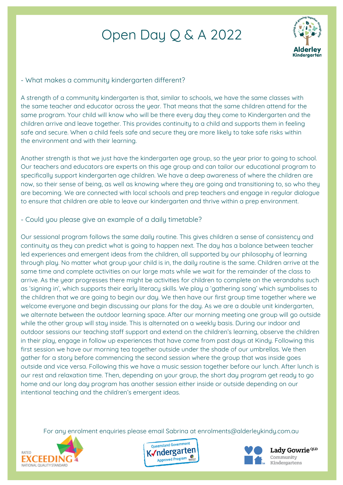

#### - What makes a community kindergarten different?

A strength of a community kindergarten is that, similar to schools, we have the same classes with the same teacher and educator across the year. That means that the same children attend for the same program. Your child will know who will be there every day they come to Kindergarten and the children arrive and leave together. This provides continuity to a child and supports them in feeling safe and secure. When a child feels safe and secure they are more likely to take safe risks within the environment and with their learning.

Another strength is that we just have the kindergarten age group, so the year prior to going to school. Our teachers and educators are experts on this age group and can tailor our educational program to specifically support kindergarten age children. We have a deep awareness of where the children are now, so their sense of being, as well as knowing where they are going and transitioning to, so who they are becoming. We are connected with local schools and prep teachers and engage in regular dialogue to ensure that children are able to leave our kindergarten and thrive within a prep environment.

#### - Could you please give an example of a daily timetable?

Our sessional program follows the same daily routine. This gives children a sense of consistency and continuity as they can predict what is going to happen next. The day has a balance between teacher led experiences and emergent ideas from the children, all supported by our philosophy of learning through play. No matter what group your child is in, the daily routine is the same. Children arrive at the same time and complete activities on our large mats while we wait for the remainder of the class to arrive. As the year progresses there might be activities for children to complete on the verandahs such as 'signing in', which supports their early literacy skills. We play a 'gathering song' which symbolises to the children that we are going to begin our day. We then have our first group time together where we welcome everyone and begin discussing our plans for the day. As we are a double unit kindergarten, we alternate between the outdoor learning space. After our morning meeting one group will go outside while the other group will stay inside. This is alternated on a weekly basis. During our indoor and outdoor sessions our teaching staff support and extend on the children's learning, observe the children in their play, engage in follow up experiences that have come from past days at Kindy. Following this first session we have our morning tea together outside under the shade of our umbrellas. We then gather for a story before commencing the second session where the group that was inside goes outside and vice versa. Following this we have a music session together before our lunch. After lunch is our rest and relaxation time. Then, depending on your group, the short day program get ready to go home and our long day program has another session either inside or outside depending on our intentional teaching and the children's emergent ideas.

For any enrolment enquiries please email Sabrina at enrolments@alderleykindy.com.au





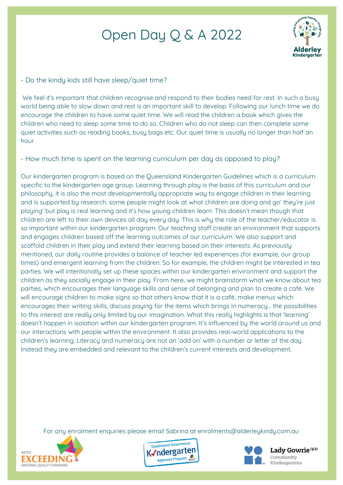

### - Do the kindy kids still have sleep/quiet time?

We feel it's important that children recognise and respond to their bodies need for rest. In such a busy world being able to slow down and rest is an important skill to develop. Following our lunch time we do encourage the children to have some quiet time. We will read the children a book which gives the children who need to sleep some time to do so. Children who do not sleep can then complete some quiet activities such as reading books, busy bags etc. Our quiet time is usually no longer than half an hour.

### - How much time is spent on the learning curriculum per day as opposed to play?

Our kindergarten program is based on the Queensland Kindergarten Guidelines which is a curriculum specific to the kindergarten age group. Learning through play is the basis of this curriculum and our philosophy, it is also the most developmentally appropriate way to engage children in their learning and is supported by research. some people might look at what children are doing and go' they're just playing' but play is real learning and it's how young children learn. This doesn't mean though that children are left to their own devices all day every day. This is why the role of the teacher/educator is so important within our kindergarten program. Our teaching staff create an environment that supports and engages children based off the learning outcomes of our curriculum. We also support and scaffold children in their play and extend their learning based on their interests. As previously mentioned, our daily routine provides a balance of teacher led experiences (for example, our group times) and emergent learning from the children. So for example, the children might be interested in tea parties. We will intentionally set up these spaces within our kindergarten environment and support the children as they socially engage in their play. From here, we might brainstorm what we know about tea parties, which encourages their language skills and sense of belonging and plan to create a café. We will encourage children to make signs so that others know that it is a café, make menus which encourages their writing skills, discuss paying for the items which brings in numeracy… the possibilities to this interest are really only limited by our imagination. What this really highlights is that 'learning' doesn't happen in isolation within our kindergarten program. It's influenced by the world around us and our interactions with people within the environment. It also provides real-world applications to the children's learning. Literacy and numeracy are not an 'add on' with a number or letter of the day. Instead they are embedded and relevant to the children's current interests and development.

For any enrolment enquiries please email Sabrina at enrolments@alderleykindy.com.au





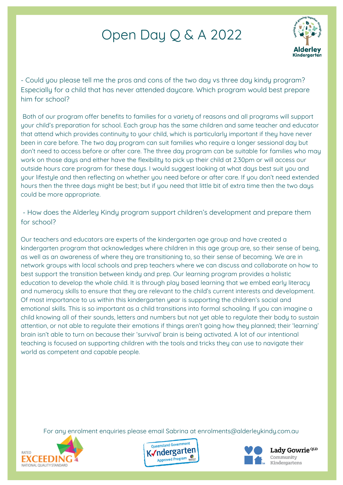

- Could you please tell me the pros and cons of the two day vs three day kindy program? Especially for a child that has never attended daycare. Which program would best prepare him for school?

Both of our program offer benefits to families for a variety of reasons and all programs will support your child's preparation for school. Each group has the same children and same teacher and educator that attend which provides continuity to your child, which is particularly important if they have never been in care before. The two day program can suit families who require a longer sessional day but don't need to access before or after care. The three day program can be suitable for families who may work on those days and either have the flexibility to pick up their child at 2.30pm or will access our outside hours care program for these days. I would suggest looking at what days best suit you and your lifestyle and then reflecting on whether you need before or after care. If you don't need extended hours then the three days might be best; but if you need that little bit of extra time then the two days could be more appropriate.

- How does the Alderley Kindy program support children's development and prepare them for school?

Our teachers and educators are experts of the kindergarten age group and have created a kindergarten program that acknowledges where children in this age group are, so their sense of being, as well as an awareness of where they are transitioning to, so their sense of becoming. We are in network groups with local schools and prep teachers where we can discuss and collaborate on how to best support the transition between kindy and prep. Our learning program provides a holistic education to develop the whole child. It is through play based learning that we embed early literacy and numeracy skills to ensure that they are relevant to the child's current interests and development. Of most importance to us within this kindergarten year is supporting the children's social and emotional skills. This is so important as a child transitions into formal schooling. If you can imagine a child knowing all of their sounds, letters and numbers but not yet able to regulate their body to sustain attention, or not able to regulate their emotions if things aren't going how they planned; their 'learning' brain isn't able to turn on because their 'survival' brain is being activated. A lot of our intentional teaching is focused on supporting children with the tools and tricks they can use to navigate their world as competent and capable people.

For any enrolment enquiries please email Sabrina at enrolments@alderleykindy.com.au